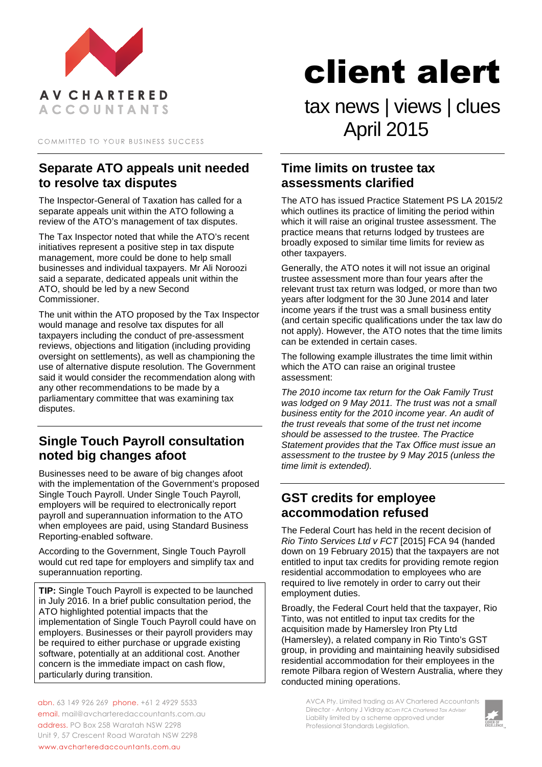

COMMITTED TO YOUR BUSINESS SUCCESS

## **Separate ATO appeals unit needed to resolve tax disputes**

The Inspector-General of Taxation has called for a separate appeals unit within the ATO following a review of the ATO's management of tax disputes.

The Tax Inspector noted that while the ATO's recent initiatives represent a positive step in tax dispute management, more could be done to help small businesses and individual taxpayers. Mr Ali Noroozi said a separate, dedicated appeals unit within the ATO, should be led by a new Second Commissioner.

The unit within the ATO proposed by the Tax Inspector would manage and resolve tax disputes for all taxpayers including the conduct of pre-assessment reviews, objections and litigation (including providing oversight on settlements), as well as championing the use of alternative dispute resolution. The Government said it would consider the recommendation along with any other recommendations to be made by a parliamentary committee that was examining tax disputes.

# **Single Touch Payroll consultation noted big changes afoot**

Businesses need to be aware of big changes afoot with the implementation of the Government's proposed Single Touch Payroll. Under Single Touch Payroll, employers will be required to electronically report payroll and superannuation information to the ATO when employees are paid, using Standard Business Reporting-enabled software.

According to the Government, Single Touch Payroll would cut red tape for employers and simplify tax and superannuation reporting.

**TIP:** Single Touch Payroll is expected to be launched in July 2016. In a brief public consultation period, the ATO highlighted potential impacts that the implementation of Single Touch Payroll could have on employers. Businesses or their payroll providers may be required to either purchase or upgrade existing software, potentially at an additional cost. Another concern is the immediate impact on cash flow, particularly during transition.

abn. 63 149 926 269 phone. +61 2 4929 5533 email. mail@avcharteredaccountants.com.au address. PO Box 258 Waratah NSW 2298 Unit 9, 57 Crescent Road Waratah NSW 2298 www.avcharteredaccountants.com.au

client alert

tax news | views | clues April 2015

#### **Time limits on trustee tax assessments clarified**

The ATO has issued Practice Statement PS LA 2015/2 which outlines its practice of limiting the period within which it will raise an original trustee assessment. The practice means that returns lodged by trustees are broadly exposed to similar time limits for review as other taxpayers.

Generally, the ATO notes it will not issue an original trustee assessment more than four years after the relevant trust tax return was lodged, or more than two years after lodgment for the 30 June 2014 and later income years if the trust was a small business entity (and certain specific qualifications under the tax law do not apply). However, the ATO notes that the time limits can be extended in certain cases.

The following example illustrates the time limit within which the ATO can raise an original trustee assessment:

*The 2010 income tax return for the Oak Family Trust was lodged on 9 May 2011. The trust was not a small business entity for the 2010 income year. An audit of the trust reveals that some of the trust net income should be assessed to the trustee. The Practice Statement provides that the Tax Office must issue an assessment to the trustee by 9 May 2015 (unless the time limit is extended).* 

## **GST credits for employee accommodation refused**

The Federal Court has held in the recent decision of *Rio Tinto Services Ltd v FCT* [2015] FCA 94 (handed down on 19 February 2015) that the taxpayers are not entitled to input tax credits for providing remote region residential accommodation to employees who are required to live remotely in order to carry out their employment duties.

Broadly, the Federal Court held that the taxpayer, Rio Tinto, was not entitled to input tax credits for the acquisition made by Hamersley Iron Pty Ltd (Hamersley), a related company in Rio Tinto's GST group, in providing and maintaining heavily subsidised residential accommodation for their employees in the remote Pilbara region of Western Australia, where they conducted mining operations.

> AVCA Pty. Limited trading as AV Chartered Accountants Director - Antony J Vidray *BCom FCA Chartered Tax Adviser* Liability limited by a scheme approved under Professional Standards Legislation.